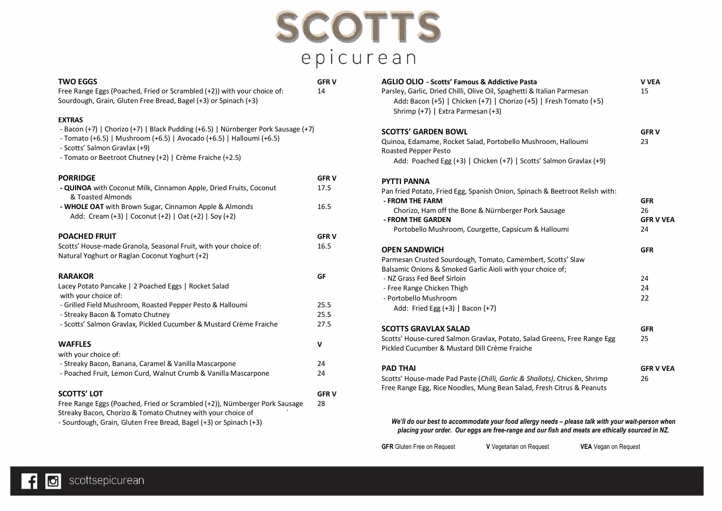

#### **TWO EGGS GFR V**

Free Range Eggs (Poached, Fried or Scrambled (+2)) with your choice of: 14 Sourdough, Grain, Gluten Free Bread, Bagel (+3) or Spinach (+3)

#### **EXTRAS**

| - Bacon (+7)   Chorizo (+7)   Black Pudding (+6.5)   Nürnberger Pork Sausage (+7) |  |
|-----------------------------------------------------------------------------------|--|
|-----------------------------------------------------------------------------------|--|

- Tomato (+6.5) | Mushroom (+6.5) | Avocado (+6.5) | Halloumi (+6.5)

- Scotts' Salmon Gravlax (+9)

- Tomato or Beetroot Chutney (+2) | Crème Fraiche (+2.5)

| <b>PORRIDGE</b>                                                                                                    | <b>GFRV</b> |
|--------------------------------------------------------------------------------------------------------------------|-------------|
| - QUINOA with Coconut Milk, Cinnamon Apple, Dried Fruits, Coconut<br>& Toasted Almonds                             | 17.5        |
| - WHOLE OAT with Brown Sugar, Cinnamon Apple & Almonds<br>Add: Cream (+3)   Coconut (+2)   Oat (+2)   Soy (+2)     | 16.5        |
| <b>POACHED FRUIT</b>                                                                                               | <b>GFRV</b> |
| Scotts' House-made Granola, Seasonal Fruit, with your choice of:<br>Natural Yoghurt or Raglan Coconut Yoghurt (+2) | 16.5        |
| <b>RARAKOR</b>                                                                                                     | GF          |
| Lacey Potato Pancake   2 Poached Eggs   Rocket Salad<br>with your choice of:                                       |             |
| - Grilled Field Mushroom, Roasted Pepper Pesto & Halloumi                                                          | 25.5        |
| - Streaky Bacon & Tomato Chutney                                                                                   | 25.5        |
| - Scotts' Salmon Gravlax, Pickled Cucumber & Mustard Crème Fraiche                                                 | 27.5        |
| <b>WAFFLES</b><br>with your choice of:                                                                             | v           |
| - Streaky Bacon, Banana, Caramel & Vanilla Mascarpone                                                              | 24          |
| - Poached Fruit, Lemon Curd, Walnut Crumb & Vanilla Mascarpone                                                     | 24          |
| <b>SCOTTS' LOT</b>                                                                                                 | <b>GFRV</b> |
| Free Range Eggs (Poached, Fried or Scrambled (+2)), Nürnberger Pork Sausage                                        | 28          |
| Streaky Bacon, Chorizo & Tomato Chutney with your choice of                                                        |             |
|                                                                                                                    |             |

|  |  |  | - Sourdough, Grain, Gluten Free Bread, Bagel (+3) or Spinach (+3) |  |
|--|--|--|-------------------------------------------------------------------|--|
|--|--|--|-------------------------------------------------------------------|--|

| <b>AGLIO OLIO - Scotts' Famous &amp; Addictive Pasta</b><br>Parsley, Garlic, Dried Chilli, Olive Oil, Spaghetti & Italian Parmesan<br>Add: Bacon (+5)   Chicken (+7)   Chorizo (+5)   Fresh Tomato (+5)<br>Shrimp (+7)   Extra Parmesan (+3)                                | V VEA<br>15                                |
|-----------------------------------------------------------------------------------------------------------------------------------------------------------------------------------------------------------------------------------------------------------------------------|--------------------------------------------|
| <b>SCOTTS' GARDEN BOWL</b><br>Quinoa, Edamame, Rocket Salad, Portobello Mushroom, Halloumi<br>Roasted Pepper Pesto<br>Add: Poached Egg (+3)   Chicken (+7)   Scotts' Salmon Gravlax (+9)                                                                                    | <b>GFRV</b><br>23                          |
| <b>PYTTI PANNA</b><br>Pan fried Potato, Fried Egg, Spanish Onion, Spinach & Beetroot Relish with:<br>- FROM THE FARM<br>Chorizo, Ham off the Bone & Nürnberger Pork Sausage<br>- FROM THE GARDEN<br>Portobello Mushroom, Courgette, Capsicum & Halloumi                     | <b>GFR</b><br>26<br><b>GFR V VEA</b><br>24 |
| <b>OPEN SANDWICH</b><br>Parmesan Crusted Sourdough, Tomato, Camembert, Scotts' Slaw<br>Balsamic Onions & Smoked Garlic Aioli with your choice of;<br>- NZ Grass Fed Beef Sirloin<br>- Free Range Chicken Thigh<br>- Portobello Mushroom<br>Add: Fried Egg (+3)   Bacon (+7) | <b>GFR</b><br>24<br>24<br>22               |
| <b>SCOTTS GRAVLAX SALAD</b><br>Scotts' House-cured Salmon Gravlax, Potato, Salad Greens, Free Range Egg<br>Pickled Cucumber & Mustard Dill Crème Fraiche                                                                                                                    | <b>GFR</b><br>25                           |
| <b>PAD THAI</b><br>Scotts' House-made Pad Paste (Chilli, Garlic & Shallots), Chicken, Shrimp<br>Free Range Egg, Rice Noodles, Mung Bean Salad, Fresh Citrus & Peanuts                                                                                                       | <b>GFR V VEA</b><br>26                     |

*We'll do our best to accommodate your food allergy needs – please talk with your wait-person when placing your order. Our eggs are free-range and our fish and meats are ethically sourced in NZ.*

| <b>GFR</b> Gluten Free on Request | <b>V</b> Vegetarian on Request | <b>VEA</b> Vegan on Request |
|-----------------------------------|--------------------------------|-----------------------------|
|-----------------------------------|--------------------------------|-----------------------------|